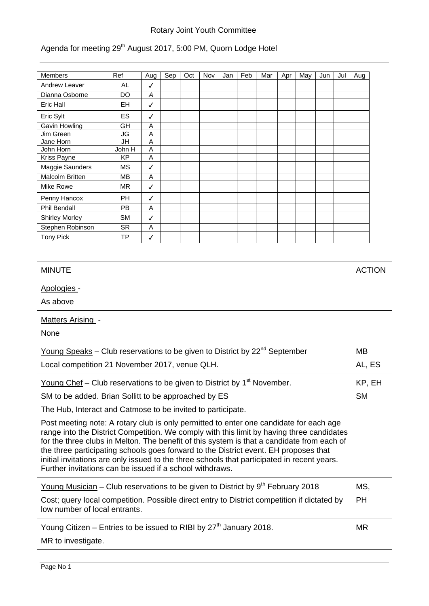## Rotary Joint Youth Committee

## Agenda for meeting 29<sup>th</sup> August 2017, 5:00 PM, Quorn Lodge Hotel

| <b>Members</b>        | Ref       | Aug          | Sep | Oct | Nov | Jan | Feb | Mar | Apr | May | Jun | Jul | Aug |
|-----------------------|-----------|--------------|-----|-----|-----|-----|-----|-----|-----|-----|-----|-----|-----|
| Andrew Leaver         | AL        | ✓            |     |     |     |     |     |     |     |     |     |     |     |
| Dianna Osborne        | DO        | A            |     |     |     |     |     |     |     |     |     |     |     |
| Eric Hall             | EH        | ✓            |     |     |     |     |     |     |     |     |     |     |     |
| Eric Sylt             | ES.       | √            |     |     |     |     |     |     |     |     |     |     |     |
| Gavin Howling         | GH        | A            |     |     |     |     |     |     |     |     |     |     |     |
| Jim Green             | JG        | A            |     |     |     |     |     |     |     |     |     |     |     |
| Jane Horn             | JH        | A            |     |     |     |     |     |     |     |     |     |     |     |
| John Horn             | John H    | A            |     |     |     |     |     |     |     |     |     |     |     |
| Kriss Payne           | <b>KP</b> | A            |     |     |     |     |     |     |     |     |     |     |     |
| Maggie Saunders       | MS        | √            |     |     |     |     |     |     |     |     |     |     |     |
| Malcolm Britten       | MВ        | A            |     |     |     |     |     |     |     |     |     |     |     |
| Mike Rowe             | <b>MR</b> | ✓            |     |     |     |     |     |     |     |     |     |     |     |
| Penny Hancox          | PH.       | $\checkmark$ |     |     |     |     |     |     |     |     |     |     |     |
| Phil Bendall          | PB.       | A            |     |     |     |     |     |     |     |     |     |     |     |
| <b>Shirley Morley</b> | <b>SM</b> | $\checkmark$ |     |     |     |     |     |     |     |     |     |     |     |
| Stephen Robinson      | <b>SR</b> | A            |     |     |     |     |     |     |     |     |     |     |     |
| <b>Tony Pick</b>      | ТP        | √            |     |     |     |     |     |     |     |     |     |     |     |

| <b>MINUTE</b>                                                                                                                                                                                                                                                                                                                                                                                                                                                                                                                        | <b>ACTION</b> |  |
|--------------------------------------------------------------------------------------------------------------------------------------------------------------------------------------------------------------------------------------------------------------------------------------------------------------------------------------------------------------------------------------------------------------------------------------------------------------------------------------------------------------------------------------|---------------|--|
| Apologies -                                                                                                                                                                                                                                                                                                                                                                                                                                                                                                                          |               |  |
| As above                                                                                                                                                                                                                                                                                                                                                                                                                                                                                                                             |               |  |
| <b>Matters Arising -</b>                                                                                                                                                                                                                                                                                                                                                                                                                                                                                                             |               |  |
| None                                                                                                                                                                                                                                                                                                                                                                                                                                                                                                                                 |               |  |
| Young Speaks - Club reservations to be given to District by $22^{nd}$ September                                                                                                                                                                                                                                                                                                                                                                                                                                                      | <b>MB</b>     |  |
| Local competition 21 November 2017, venue QLH.                                                                                                                                                                                                                                                                                                                                                                                                                                                                                       | AL, ES        |  |
| <u>Young Chef</u> – Club reservations to be given to District by $1st$ November.                                                                                                                                                                                                                                                                                                                                                                                                                                                     | KP, EH        |  |
| SM to be added. Brian Sollitt to be approached by ES                                                                                                                                                                                                                                                                                                                                                                                                                                                                                 |               |  |
| The Hub, Interact and Catmose to be invited to participate.                                                                                                                                                                                                                                                                                                                                                                                                                                                                          |               |  |
| Post meeting note: A rotary club is only permitted to enter one candidate for each age<br>range into the District Competition. We comply with this limit by having three candidates<br>for the three clubs in Melton. The benefit of this system is that a candidate from each of<br>the three participating schools goes forward to the District event. EH proposes that<br>initial invitations are only issued to the three schools that participated in recent years.<br>Further invitations can be issued if a school withdraws. |               |  |
| <u>Young Musician</u> – Club reservations to be given to District by $9th$ February 2018                                                                                                                                                                                                                                                                                                                                                                                                                                             | MS,           |  |
| Cost; query local competition. Possible direct entry to District competition if dictated by<br>low number of local entrants.                                                                                                                                                                                                                                                                                                                                                                                                         | <b>PH</b>     |  |
| <u>Young Citizen</u> – Entries to be issued to RIBI by $27th$ January 2018.<br>MR to investigate.                                                                                                                                                                                                                                                                                                                                                                                                                                    | <b>MR</b>     |  |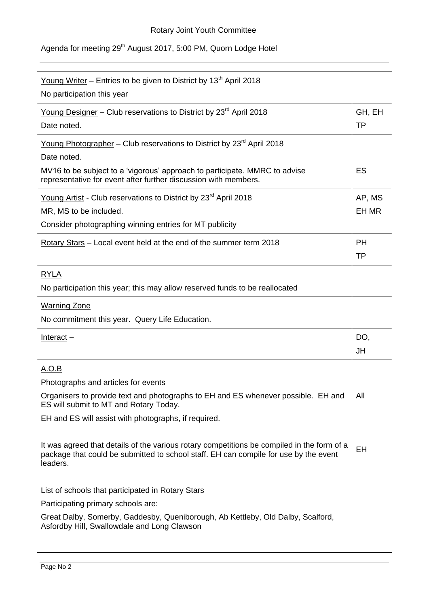## Agenda for meeting 29<sup>th</sup> August 2017, 5:00 PM, Quorn Lodge Hotel

| <u>Young Writer</u> – Entries to be given to District by 13 <sup>th</sup> April 2018<br>No participation this year                                                                             |                        |  |  |
|------------------------------------------------------------------------------------------------------------------------------------------------------------------------------------------------|------------------------|--|--|
| Young Designer - Club reservations to District by 23 <sup>rd</sup> April 2018<br>Date noted.                                                                                                   |                        |  |  |
| Young Photographer - Club reservations to District by 23 <sup>rd</sup> April 2018                                                                                                              |                        |  |  |
| Date noted.                                                                                                                                                                                    |                        |  |  |
| MV16 to be subject to a 'vigorous' approach to participate. MMRC to advise<br>representative for event after further discussion with members.                                                  | ES                     |  |  |
| Young Artist - Club reservations to District by 23 <sup>rd</sup> April 2018                                                                                                                    | AP, MS                 |  |  |
| MR, MS to be included.                                                                                                                                                                         |                        |  |  |
| Consider photographing winning entries for MT publicity                                                                                                                                        |                        |  |  |
| Rotary Stars – Local event held at the end of the summer term 2018                                                                                                                             | <b>PH</b><br><b>TP</b> |  |  |
| <b>RYLA</b>                                                                                                                                                                                    |                        |  |  |
| No participation this year; this may allow reserved funds to be reallocated                                                                                                                    |                        |  |  |
| <b>Warning Zone</b>                                                                                                                                                                            |                        |  |  |
| No commitment this year. Query Life Education.                                                                                                                                                 |                        |  |  |
| <u>Interact</u> –                                                                                                                                                                              | DO,                    |  |  |
|                                                                                                                                                                                                | JH                     |  |  |
| A.O.B                                                                                                                                                                                          |                        |  |  |
| Photographs and articles for events                                                                                                                                                            | All                    |  |  |
| Organisers to provide text and photographs to EH and ES whenever possible. EH and<br>ES will submit to MT and Rotary Today.                                                                    |                        |  |  |
| EH and ES will assist with photographs, if required.                                                                                                                                           |                        |  |  |
| It was agreed that details of the various rotary competitions be compiled in the form of a<br>package that could be submitted to school staff. EH can compile for use by the event<br>leaders. | EH                     |  |  |
| List of schools that participated in Rotary Stars                                                                                                                                              |                        |  |  |
| Participating primary schools are:                                                                                                                                                             |                        |  |  |
| Great Dalby, Somerby, Gaddesby, Queniborough, Ab Kettleby, Old Dalby, Scalford,<br>Asfordby Hill, Swallowdale and Long Clawson                                                                 |                        |  |  |
|                                                                                                                                                                                                |                        |  |  |